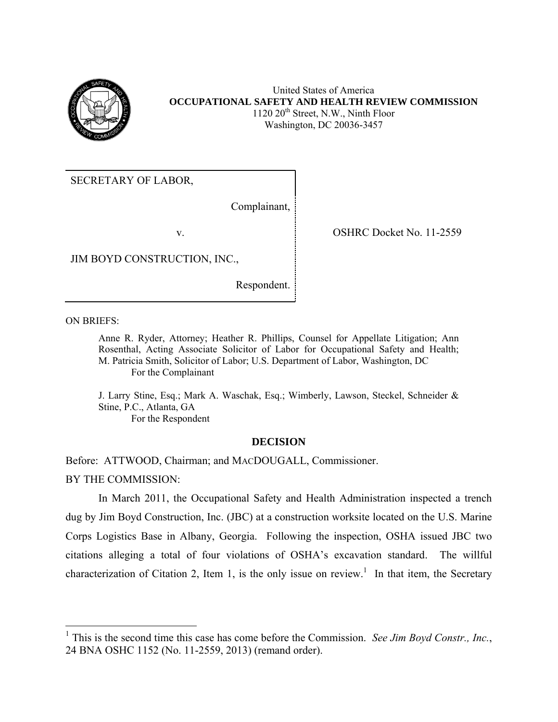

United States of America **OCCUPATIONAL SAFETY AND HEALTH REVIEW COMMISSION**   $1120 20<sup>th</sup> Street, N.W., Ninth Floor$ Washington, DC 20036-3457

SECRETARY OF LABOR,

Complainant,

v. OSHRC Docket No. 11-2559

JIM BOYD CONSTRUCTION, INC.,

Respondent.

ON BRIEFS:

 $\overline{a}$ 

Anne R. Ryder, Attorney; Heather R. Phillips, Counsel for Appellate Litigation; Ann Rosenthal, Acting Associate Solicitor of Labor for Occupational Safety and Health; M. Patricia Smith, Solicitor of Labor; U.S. Department of Labor, Washington, DC For the Complainant

J. Larry Stine, Esq.; Mark A. Waschak, Esq.; Wimberly, Lawson, Steckel, Schneider & Stine, P.C., Atlanta, GA For the Respondent

### **DECISION**

Before: ATTWOOD, Chairman; and MACDOUGALL, Commissioner. BY THE COMMISSION:

In March 2011, the Occupational Safety and Health Administration inspected a trench dug by Jim Boyd Construction, Inc. (JBC) at a construction worksite located on the U.S. Marine Corps Logistics Base in Albany, Georgia. Following the inspection, OSHA issued JBC two citations alleging a total of four violations of OSHA's excavation standard. The willful characterization of Citation 2, Item 1, is the only issue on review.<sup>1</sup> In that item, the Secretary

<sup>&</sup>lt;sup>1</sup> This is the second time this case has come before the Commission. *See Jim Boyd Constr., Inc.*, 24 BNA OSHC 1152 (No. 11-2559, 2013) (remand order).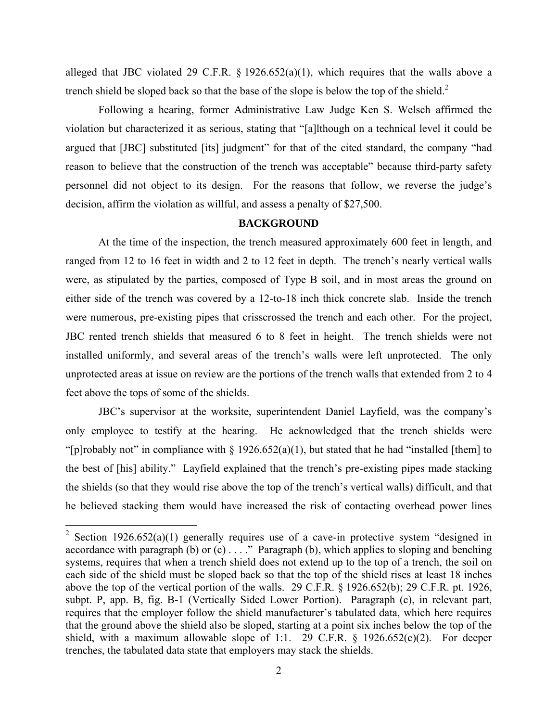alleged that JBC violated 29 C.F.R.  $\S$  1926.652(a)(1), which requires that the walls above a trench shield be sloped back so that the base of the slope is below the top of the shield.<sup>2</sup>

Following a hearing, former Administrative Law Judge Ken S. Welsch affirmed the violation but characterized it as serious, stating that "[a]lthough on a technical level it could be argued that [JBC] substituted [its] judgment" for that of the cited standard, the company "had reason to believe that the construction of the trench was acceptable" because third-party safety personnel did not object to its design. For the reasons that follow, we reverse the judge's decision, affirm the violation as willful, and assess a penalty of \$27,500.

#### **BACKGROUND**

At the time of the inspection, the trench measured approximately 600 feet in length, and ranged from 12 to 16 feet in width and 2 to 12 feet in depth. The trench's nearly vertical walls were, as stipulated by the parties, composed of Type B soil, and in most areas the ground on either side of the trench was covered by a 12-to-18 inch thick concrete slab. Inside the trench were numerous, pre-existing pipes that crisscrossed the trench and each other. For the project, JBC rented trench shields that measured 6 to 8 feet in height. The trench shields were not installed uniformly, and several areas of the trench's walls were left unprotected. The only unprotected areas at issue on review are the portions of the trench walls that extended from 2 to 4 feet above the tops of some of the shields.

JBC's supervisor at the worksite, superintendent Daniel Layfield, was the company's only employee to testify at the hearing. He acknowledged that the trench shields were "[p]robably not" in compliance with  $\S$  1926.652(a)(1), but stated that he had "installed [them] to the best of [his] ability." Layfield explained that the trench's pre-existing pipes made stacking the shields (so that they would rise above the top of the trench's vertical walls) difficult, and that he believed stacking them would have increased the risk of contacting overhead power lines

<sup>&</sup>lt;sup>2</sup> Section 1926.652(a)(1) generally requires use of a cave-in protective system "designed in accordance with paragraph (b) or  $(c)$ ...." Paragraph (b), which applies to sloping and benching systems, requires that when a trench shield does not extend up to the top of a trench, the soil on each side of the shield must be sloped back so that the top of the shield rises at least 18 inches above the top of the vertical portion of the walls. 29 C.F.R. § 1926.652(b); 29 C.F.R. pt. 1926, subpt. P, app. B, fig. B-1 (Vertically Sided Lower Portion). Paragraph (c), in relevant part, requires that the employer follow the shield manufacturer's tabulated data, which here requires that the ground above the shield also be sloped, starting at a point six inches below the top of the shield, with a maximum allowable slope of 1:1. 29 C.F.R.  $\S$  1926.652(c)(2). For deeper trenches, the tabulated data state that employers may stack the shields.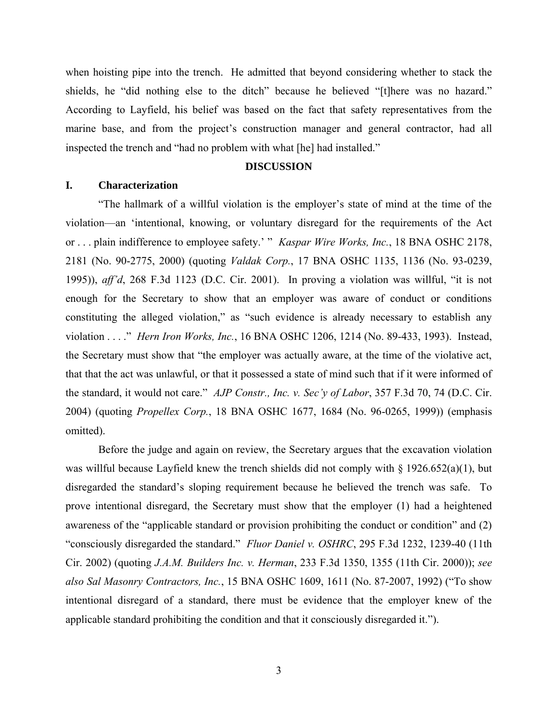when hoisting pipe into the trench. He admitted that beyond considering whether to stack the shields, he "did nothing else to the ditch" because he believed "[t]here was no hazard." According to Layfield, his belief was based on the fact that safety representatives from the marine base, and from the project's construction manager and general contractor, had all inspected the trench and "had no problem with what [he] had installed."

### **DISCUSSION**

## **I. Characterization**

"The hallmark of a willful violation is the employer's state of mind at the time of the violation—an 'intentional, knowing, or voluntary disregard for the requirements of the Act or . . . plain indifference to employee safety.' " *Kaspar Wire Works, Inc.*, 18 BNA OSHC 2178, 2181 (No. 90-2775, 2000) (quoting *Valdak Corp.*, 17 BNA OSHC 1135, 1136 (No. 93-0239, 1995)), *aff'd*, 268 F.3d 1123 (D.C. Cir. 2001). In proving a violation was willful, "it is not enough for the Secretary to show that an employer was aware of conduct or conditions constituting the alleged violation," as "such evidence is already necessary to establish any violation . . . ." *Hern Iron Works, Inc.*, 16 BNA OSHC 1206, 1214 (No. 89-433, 1993). Instead, the Secretary must show that "the employer was actually aware, at the time of the violative act, that that the act was unlawful, or that it possessed a state of mind such that if it were informed of the standard, it would not care." *AJP Constr., Inc. v. Sec'y of Labor*, 357 F.3d 70, 74 (D.C. Cir. 2004) (quoting *Propellex Corp.*, 18 BNA OSHC 1677, 1684 (No. 96-0265, 1999)) (emphasis omitted).

Before the judge and again on review, the Secretary argues that the excavation violation was willful because Layfield knew the trench shields did not comply with § 1926.652(a)(1), but disregarded the standard's sloping requirement because he believed the trench was safe. To prove intentional disregard, the Secretary must show that the employer (1) had a heightened awareness of the "applicable standard or provision prohibiting the conduct or condition" and (2) "consciously disregarded the standard." *Fluor Daniel v. OSHRC*, 295 F.3d 1232, 1239-40 (11th Cir. 2002) (quoting *J.A.M. Builders Inc. v. Herman*, 233 F.3d 1350, 1355 (11th Cir. 2000)); *see also Sal Masonry Contractors, Inc.*, 15 BNA OSHC 1609, 1611 (No. 87-2007, 1992) ("To show intentional disregard of a standard, there must be evidence that the employer knew of the applicable standard prohibiting the condition and that it consciously disregarded it.").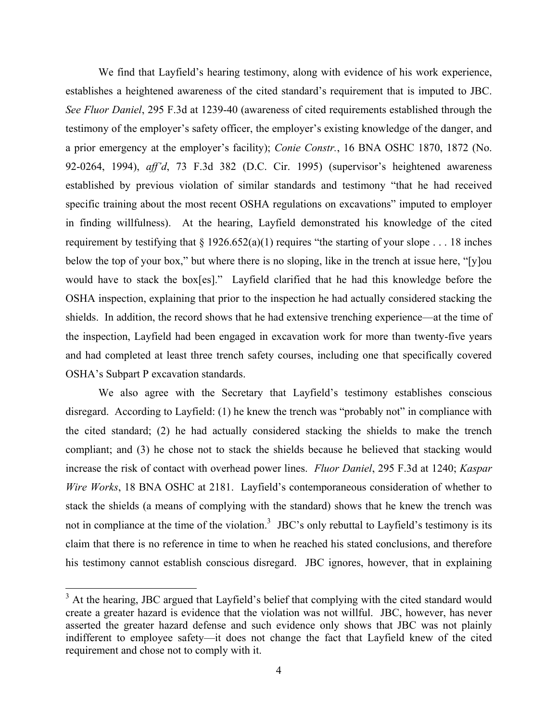We find that Layfield's hearing testimony, along with evidence of his work experience, establishes a heightened awareness of the cited standard's requirement that is imputed to JBC. *See Fluor Daniel*, 295 F.3d at 1239-40 (awareness of cited requirements established through the testimony of the employer's safety officer, the employer's existing knowledge of the danger, and a prior emergency at the employer's facility); *Conie Constr.*, 16 BNA OSHC 1870, 1872 (No. 92-0264, 1994), *aff'd*, 73 F.3d 382 (D.C. Cir. 1995) (supervisor's heightened awareness established by previous violation of similar standards and testimony "that he had received specific training about the most recent OSHA regulations on excavations" imputed to employer in finding willfulness). At the hearing, Layfield demonstrated his knowledge of the cited requirement by testifying that  $\S 1926.652(a)(1)$  requires "the starting of your slope . . . 18 inches below the top of your box," but where there is no sloping, like in the trench at issue here, "[y]ou would have to stack the box[es]." Layfield clarified that he had this knowledge before the OSHA inspection, explaining that prior to the inspection he had actually considered stacking the shields. In addition, the record shows that he had extensive trenching experience—at the time of the inspection, Layfield had been engaged in excavation work for more than twenty-five years and had completed at least three trench safety courses, including one that specifically covered OSHA's Subpart P excavation standards.

 We also agree with the Secretary that Layfield's testimony establishes conscious disregard. According to Layfield: (1) he knew the trench was "probably not" in compliance with the cited standard; (2) he had actually considered stacking the shields to make the trench compliant; and (3) he chose not to stack the shields because he believed that stacking would increase the risk of contact with overhead power lines. *Fluor Daniel*, 295 F.3d at 1240; *Kaspar Wire Works*, 18 BNA OSHC at 2181. Layfield's contemporaneous consideration of whether to stack the shields (a means of complying with the standard) shows that he knew the trench was not in compliance at the time of the violation.<sup>3</sup> JBC's only rebuttal to Layfield's testimony is its claim that there is no reference in time to when he reached his stated conclusions, and therefore his testimony cannot establish conscious disregard. JBC ignores, however, that in explaining

<sup>&</sup>lt;sup>3</sup> At the hearing, JBC argued that Layfield's belief that complying with the cited standard would create a greater hazard is evidence that the violation was not willful. JBC, however, has never asserted the greater hazard defense and such evidence only shows that JBC was not plainly indifferent to employee safety—it does not change the fact that Layfield knew of the cited requirement and chose not to comply with it.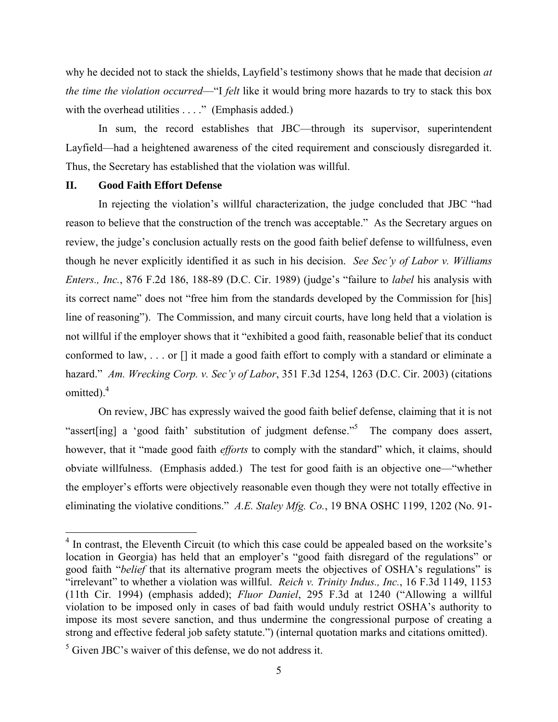why he decided not to stack the shields, Layfield's testimony shows that he made that decision *at the time the violation occurred*—"I *felt* like it would bring more hazards to try to stack this box with the overhead utilities . . . ." (Emphasis added.)

In sum, the record establishes that JBC—through its supervisor, superintendent Layfield—had a heightened awareness of the cited requirement and consciously disregarded it. Thus, the Secretary has established that the violation was willful.

# **II. Good Faith Effort Defense**

In rejecting the violation's willful characterization, the judge concluded that JBC "had reason to believe that the construction of the trench was acceptable." As the Secretary argues on review, the judge's conclusion actually rests on the good faith belief defense to willfulness, even though he never explicitly identified it as such in his decision. *See Sec'y of Labor v. Williams Enters., Inc.*, 876 F.2d 186, 188-89 (D.C. Cir. 1989) (judge's "failure to *label* his analysis with its correct name" does not "free him from the standards developed by the Commission for [his] line of reasoning"). The Commission, and many circuit courts, have long held that a violation is not willful if the employer shows that it "exhibited a good faith, reasonable belief that its conduct conformed to law, . . . or [] it made a good faith effort to comply with a standard or eliminate a hazard." *Am. Wrecking Corp. v. Sec'y of Labor*, 351 F.3d 1254, 1263 (D.C. Cir. 2003) (citations omitted).<sup>4</sup>

On review, JBC has expressly waived the good faith belief defense, claiming that it is not "assert[ing] a 'good faith' substitution of judgment defense."<sup>5</sup> The company does assert, however, that it "made good faith *efforts* to comply with the standard" which, it claims, should obviate willfulness. (Emphasis added.) The test for good faith is an objective one—"whether the employer's efforts were objectively reasonable even though they were not totally effective in eliminating the violative conditions." *A.E. Staley Mfg. Co.*, 19 BNA OSHC 1199, 1202 (No. 91-

<sup>&</sup>lt;sup>4</sup> In contrast, the Eleventh Circuit (to which this case could be appealed based on the worksite's location in Georgia) has held that an employer's "good faith disregard of the regulations" or good faith "*belief* that its alternative program meets the objectives of OSHA's regulations" is "irrelevant" to whether a violation was willful. *Reich v. Trinity Indus., Inc.*, 16 F.3d 1149, 1153 (11th Cir. 1994) (emphasis added); *Fluor Daniel*, 295 F.3d at 1240 ("Allowing a willful violation to be imposed only in cases of bad faith would unduly restrict OSHA's authority to impose its most severe sanction, and thus undermine the congressional purpose of creating a strong and effective federal job safety statute.") (internal quotation marks and citations omitted).

 $<sup>5</sup>$  Given JBC's waiver of this defense, we do not address it.</sup>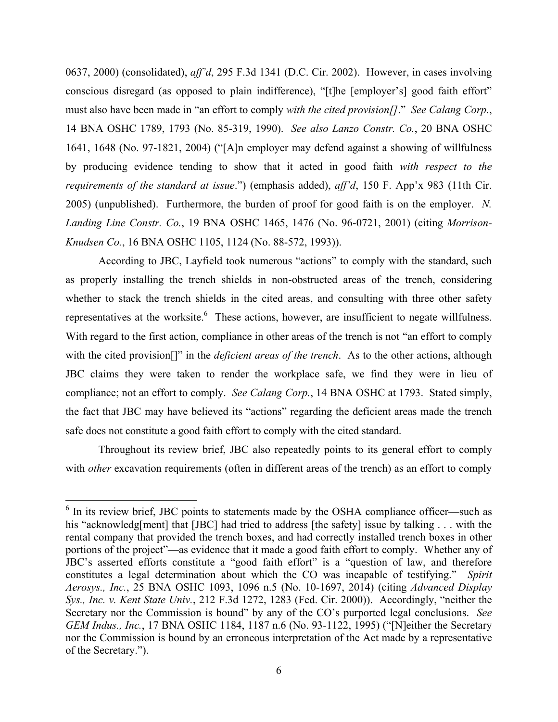0637, 2000) (consolidated), *aff'd*, 295 F.3d 1341 (D.C. Cir. 2002). However, in cases involving conscious disregard (as opposed to plain indifference), "[t]he [employer's] good faith effort" must also have been made in "an effort to comply *with the cited provision[]*." *See Calang Corp.*, 14 BNA OSHC 1789, 1793 (No. 85-319, 1990). *See also Lanzo Constr. Co.*, 20 BNA OSHC 1641, 1648 (No. 97-1821, 2004) ("[A]n employer may defend against a showing of willfulness by producing evidence tending to show that it acted in good faith *with respect to the requirements of the standard at issue*.") (emphasis added), *aff'd*, 150 F. App'x 983 (11th Cir. 2005) (unpublished). Furthermore, the burden of proof for good faith is on the employer. *N. Landing Line Constr. Co.*, 19 BNA OSHC 1465, 1476 (No. 96-0721, 2001) (citing *Morrison-Knudsen Co.*, 16 BNA OSHC 1105, 1124 (No. 88-572, 1993)).

According to JBC, Layfield took numerous "actions" to comply with the standard, such as properly installing the trench shields in non-obstructed areas of the trench, considering whether to stack the trench shields in the cited areas, and consulting with three other safety representatives at the worksite.<sup>6</sup> These actions, however, are insufficient to negate willfulness. With regard to the first action, compliance in other areas of the trench is not "an effort to comply with the cited provision[]" in the *deficient areas of the trench*. As to the other actions, although JBC claims they were taken to render the workplace safe, we find they were in lieu of compliance; not an effort to comply. *See Calang Corp.*, 14 BNA OSHC at 1793. Stated simply, the fact that JBC may have believed its "actions" regarding the deficient areas made the trench safe does not constitute a good faith effort to comply with the cited standard.

Throughout its review brief, JBC also repeatedly points to its general effort to comply with *other* excavation requirements (often in different areas of the trench) as an effort to comply

 $\overline{a}$ 

<sup>&</sup>lt;sup>6</sup> In its review brief, JBC points to statements made by the OSHA compliance officer—such as his "acknowledg[ment] that [JBC] had tried to address [the safety] issue by talking . . . with the rental company that provided the trench boxes, and had correctly installed trench boxes in other portions of the project"—as evidence that it made a good faith effort to comply. Whether any of JBC's asserted efforts constitute a "good faith effort" is a "question of law, and therefore constitutes a legal determination about which the CO was incapable of testifying." *Spirit Aerosys., Inc.*, 25 BNA OSHC 1093, 1096 n.5 (No. 10-1697, 2014) (citing *Advanced Display Sys., Inc. v. Kent State Univ.*, 212 F.3d 1272, 1283 (Fed. Cir. 2000)). Accordingly, "neither the Secretary nor the Commission is bound" by any of the CO's purported legal conclusions. *See GEM Indus., Inc.*, 17 BNA OSHC 1184, 1187 n.6 (No. 93-1122, 1995) ("[N]either the Secretary nor the Commission is bound by an erroneous interpretation of the Act made by a representative of the Secretary.").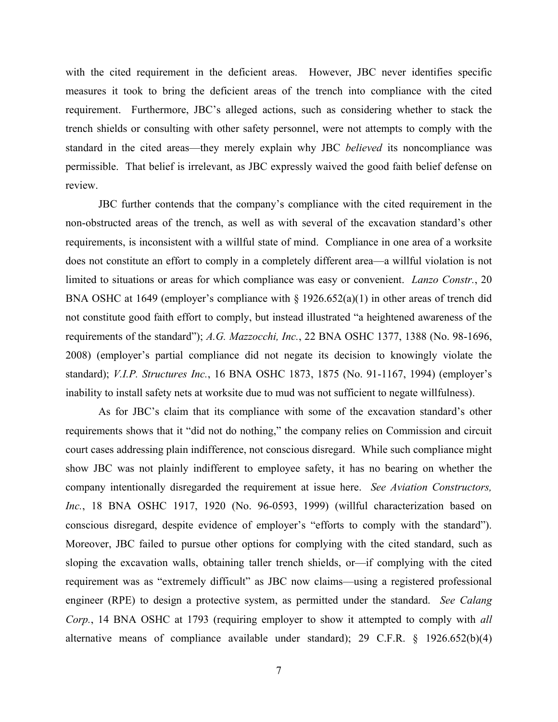with the cited requirement in the deficient areas. However, JBC never identifies specific measures it took to bring the deficient areas of the trench into compliance with the cited requirement. Furthermore, JBC's alleged actions, such as considering whether to stack the trench shields or consulting with other safety personnel, were not attempts to comply with the standard in the cited areas—they merely explain why JBC *believed* its noncompliance was permissible. That belief is irrelevant, as JBC expressly waived the good faith belief defense on review.

JBC further contends that the company's compliance with the cited requirement in the non-obstructed areas of the trench, as well as with several of the excavation standard's other requirements, is inconsistent with a willful state of mind. Compliance in one area of a worksite does not constitute an effort to comply in a completely different area—a willful violation is not limited to situations or areas for which compliance was easy or convenient. *Lanzo Constr.*, 20 BNA OSHC at 1649 (employer's compliance with § 1926.652(a)(1) in other areas of trench did not constitute good faith effort to comply, but instead illustrated "a heightened awareness of the requirements of the standard"); *A.G. Mazzocchi, Inc.*, 22 BNA OSHC 1377, 1388 (No. 98-1696, 2008) (employer's partial compliance did not negate its decision to knowingly violate the standard); *V.I.P. Structures Inc.*, 16 BNA OSHC 1873, 1875 (No. 91-1167, 1994) (employer's inability to install safety nets at worksite due to mud was not sufficient to negate willfulness).

As for JBC's claim that its compliance with some of the excavation standard's other requirements shows that it "did not do nothing," the company relies on Commission and circuit court cases addressing plain indifference, not conscious disregard. While such compliance might show JBC was not plainly indifferent to employee safety, it has no bearing on whether the company intentionally disregarded the requirement at issue here. *See Aviation Constructors, Inc.*, 18 BNA OSHC 1917, 1920 (No. 96-0593, 1999) (willful characterization based on conscious disregard, despite evidence of employer's "efforts to comply with the standard"). Moreover, JBC failed to pursue other options for complying with the cited standard, such as sloping the excavation walls, obtaining taller trench shields, or—if complying with the cited requirement was as "extremely difficult" as JBC now claims—using a registered professional engineer (RPE) to design a protective system, as permitted under the standard. *See Calang Corp.*, 14 BNA OSHC at 1793 (requiring employer to show it attempted to comply with *all* alternative means of compliance available under standard); 29 C.F.R. § 1926.652(b)(4)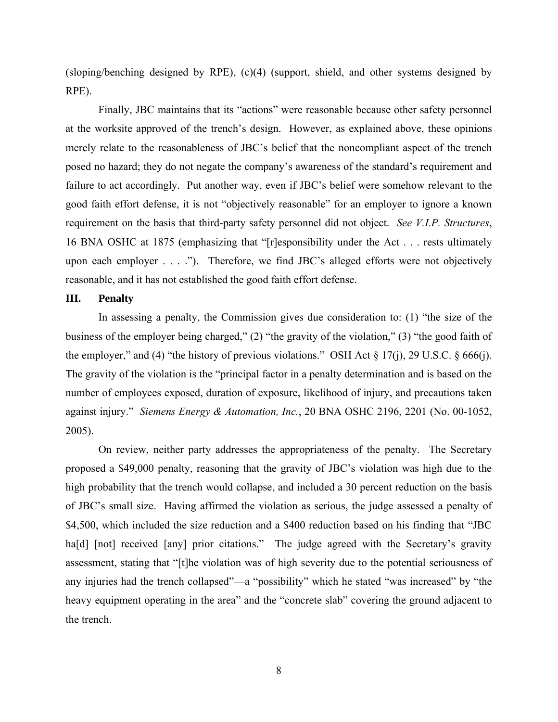(sloping/benching designed by RPE), (c)(4) (support, shield, and other systems designed by RPE).

Finally, JBC maintains that its "actions" were reasonable because other safety personnel at the worksite approved of the trench's design. However, as explained above, these opinions merely relate to the reasonableness of JBC's belief that the noncompliant aspect of the trench posed no hazard; they do not negate the company's awareness of the standard's requirement and failure to act accordingly. Put another way, even if JBC's belief were somehow relevant to the good faith effort defense, it is not "objectively reasonable" for an employer to ignore a known requirement on the basis that third-party safety personnel did not object. *See V.I.P. Structures*, 16 BNA OSHC at 1875 (emphasizing that "[r]esponsibility under the Act . . . rests ultimately upon each employer . . . ."). Therefore, we find JBC's alleged efforts were not objectively reasonable, and it has not established the good faith effort defense.

## **III. Penalty**

In assessing a penalty, the Commission gives due consideration to: (1) "the size of the business of the employer being charged," (2) "the gravity of the violation," (3) "the good faith of the employer," and (4) "the history of previous violations." OSH Act  $\S 17(j)$ , 29 U.S.C.  $\S 666(j)$ . The gravity of the violation is the "principal factor in a penalty determination and is based on the number of employees exposed, duration of exposure, likelihood of injury, and precautions taken against injury." *Siemens Energy & Automation, Inc.*, 20 BNA OSHC 2196, 2201 (No. 00-1052, 2005).

On review, neither party addresses the appropriateness of the penalty. The Secretary proposed a \$49,000 penalty, reasoning that the gravity of JBC's violation was high due to the high probability that the trench would collapse, and included a 30 percent reduction on the basis of JBC's small size. Having affirmed the violation as serious, the judge assessed a penalty of \$4,500, which included the size reduction and a \$400 reduction based on his finding that "JBC ha<sup>[d]</sup> [not] received [any] prior citations." The judge agreed with the Secretary's gravity assessment, stating that "[t]he violation was of high severity due to the potential seriousness of any injuries had the trench collapsed"—a "possibility" which he stated "was increased" by "the heavy equipment operating in the area" and the "concrete slab" covering the ground adjacent to the trench.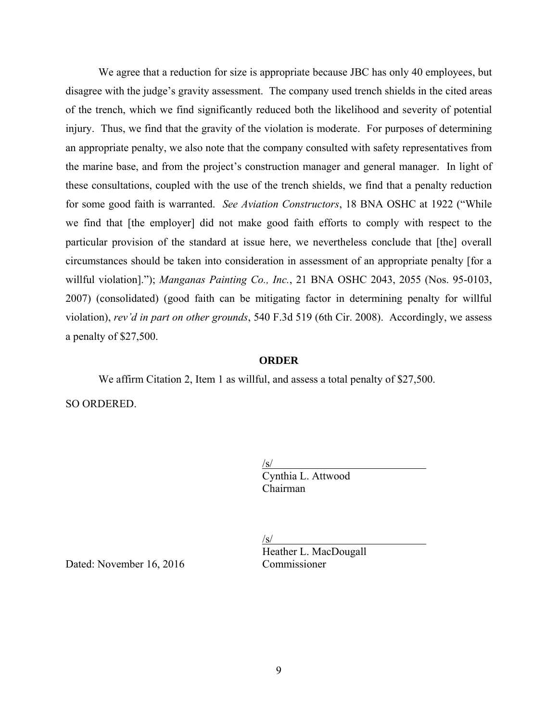We agree that a reduction for size is appropriate because JBC has only 40 employees, but disagree with the judge's gravity assessment. The company used trench shields in the cited areas of the trench, which we find significantly reduced both the likelihood and severity of potential injury. Thus, we find that the gravity of the violation is moderate. For purposes of determining an appropriate penalty, we also note that the company consulted with safety representatives from the marine base, and from the project's construction manager and general manager. In light of these consultations, coupled with the use of the trench shields, we find that a penalty reduction for some good faith is warranted. *See Aviation Constructors*, 18 BNA OSHC at 1922 ("While we find that [the employer] did not make good faith efforts to comply with respect to the particular provision of the standard at issue here, we nevertheless conclude that [the] overall circumstances should be taken into consideration in assessment of an appropriate penalty [for a willful violation]."); *Manganas Painting Co., Inc.*, 21 BNA OSHC 2043, 2055 (Nos. 95-0103, 2007) (consolidated) (good faith can be mitigating factor in determining penalty for willful violation), *rev'd in part on other grounds*, 540 F.3d 519 (6th Cir. 2008). Accordingly, we assess a penalty of \$27,500.

# **ORDER**

We affirm Citation 2, Item 1 as willful, and assess a total penalty of \$27,500.

SO ORDERED.

/s/ Cynthia L. Attwood Chairman

/s/ Heather L. MacDougall

Dated: November 16, 2016 Commissioner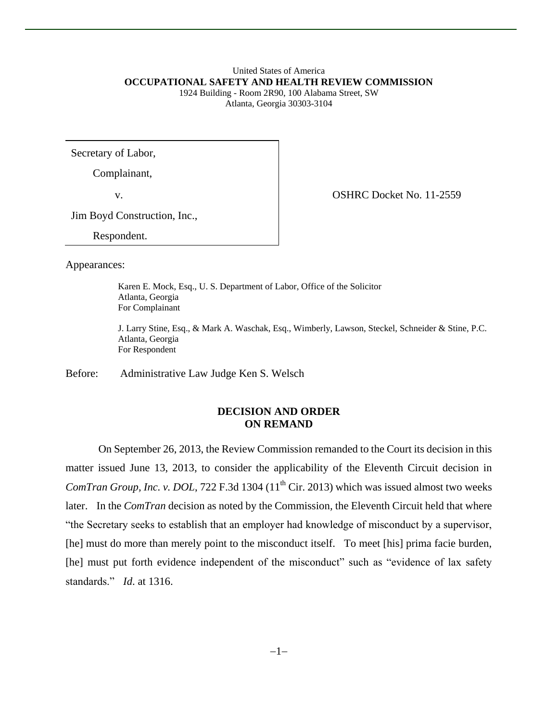#### United States of America **OCCUPATIONAL SAFETY AND HEALTH REVIEW COMMISSION** 1924 Building - Room 2R90, 100 Alabama Street, SW

Atlanta, Georgia 30303-3104

Secretary of Labor,

Complainant,

v. COSHRC Docket No. 11-2559

Jim Boyd Construction, Inc.,

Respondent.

Appearances:

Karen E. Mock, Esq., U. S. Department of Labor, Office of the Solicitor Atlanta, Georgia For Complainant

J. Larry Stine, Esq., & Mark A. Waschak, Esq., Wimberly, Lawson, Steckel, Schneider & Stine, P.C. Atlanta, Georgia For Respondent

Before: Administrative Law Judge Ken S. Welsch

# **DECISION AND ORDER ON REMAND**

On September 26, 2013, the Review Commission remanded to the Court its decision in this matter issued June 13, 2013, to consider the applicability of the Eleventh Circuit decision in *ComTran Group, Inc. v. DOL, 722 F.3d 1304 (11<sup>th</sup> Cir. 2013) which was issued almost two weeks* later. In the *ComTran* decision as noted by the Commission*,* the Eleventh Circuit held that where "the Secretary seeks to establish that an employer had knowledge of misconduct by a supervisor, [he] must do more than merely point to the misconduct itself. To meet [his] prima facie burden, [he] must put forth evidence independent of the misconduct" such as "evidence of lax safety standards." *Id*. at 1316.